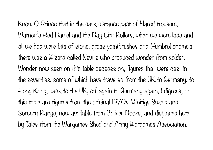Know O Prince that in the dark distance past of Flared trousers, Watney's Red Barrel and the Bay City Rollers, when we were lads and all we had were bits of stone, grass paintbrushes and Humbrol enamels there was a Wizard called Neville who produced wonder from solder. Wonder now seen on this table decades on, figures that were cast in the seventies, some of which have travelled from the UK to Germany, to Hong Kong, back to the UK, off again to Germany again, I digress, on this table are figures from the original 1970s Minifigs Sword and Sorcery Range, now available from Caliver Books, and displayed here by Tales from the Wargames Shed and Army Wargames Association.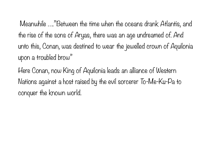Meanwhile …."Between the time when the oceans drank Atlantis, and the rise of the sons of Aryas, there was an age undreamed of. And unto this, Conan, was destined to wear the jewelled crown of Aquilonia upon a troubled brow"

Here Conan, now King of Aquilonia leads an alliance of Western Nations against a host raised by the evil sorcerer To-Me-Ku-Pa to conquer the known world.